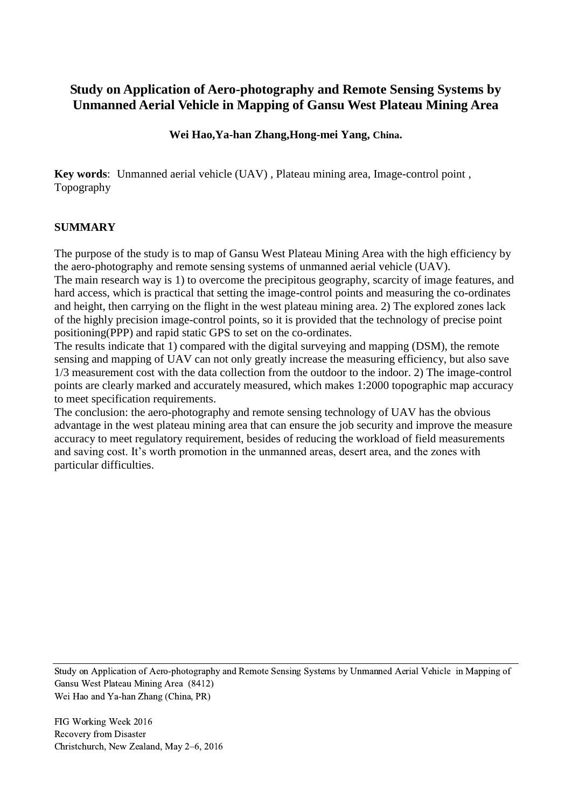# **Study on Application of Aero-photography and Remote Sensing Systems by Unmanned Aerial Vehicle in Mapping of Gansu West Plateau Mining Area**

### **Wei Hao,Ya-han Zhang,Hong-mei Yang, China.**

**Key words**: Unmanned aerial vehicle (UAV) , Plateau mining area, Image-control point , Topography

#### **SUMMARY**

The purpose of the study is to map of Gansu West Plateau Mining Area with the high efficiency by the aero-photography and remote sensing systems of unmanned aerial vehicle (UAV).

The main research way is 1) to overcome the precipitous geography, scarcity of image features, and hard access, which is practical that setting the image-control points and measuring the co-ordinates and height, then carrying on the flight in the west plateau mining area. 2) The explored zones lack of the highly precision image-control points, so it is provided that the technology of precise point positioning(PPP) and rapid static GPS to set on the co-ordinates.

The results indicate that 1) compared with the digital surveying and mapping (DSM), the remote sensing and mapping of UAV can not only greatly increase the measuring efficiency, but also save 1/3 measurement cost with the data collection from the outdoor to the indoor. 2) The image-control points are clearly marked and accurately measured, which makes 1:2000 topographic map accuracy to meet specification requirements.

The conclusion: the aero-photography and remote sensing technology of UAV has the obvious advantage in the west plateau mining area that can ensure the job security and improve the measure accuracy to meet regulatory requirement, besides of reducing the workload of field measurements and saving cost. It's worth promotion in the unmanned areas, desert area, and the zones with particular difficulties.

Study on Application of Aero-photography and Remote Sensing Systems by Unmanned Aerial Vehicle in Mapping of Gansu West Plateau Mining Area (8412) Wei Hao and Ya-han Zhang (China, PR)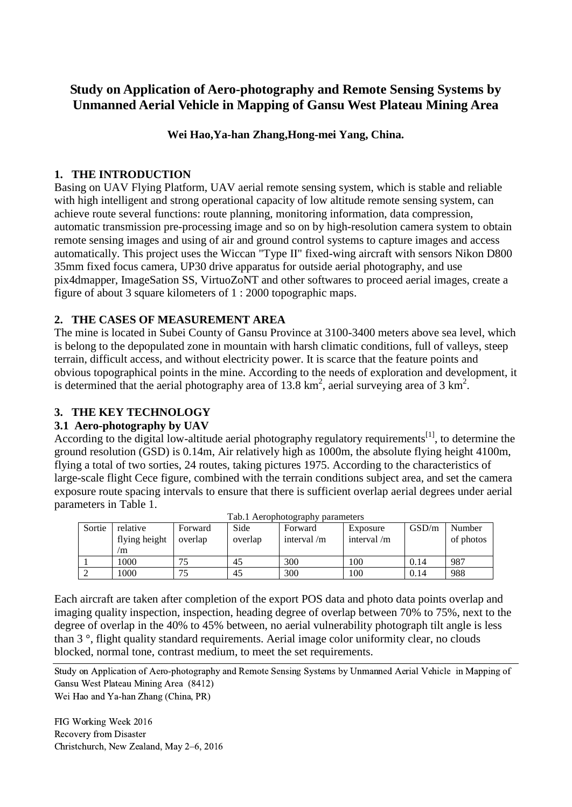# **Study on Application of Aero-photography and Remote Sensing Systems by Unmanned Aerial Vehicle in Mapping of Gansu West Plateau Mining Area**

## **Wei Hao,Ya-han Zhang,Hong-mei Yang, China.**

## **1. THE INTRODUCTION**

Basing on UAV Flying Platform, UAV aerial remote sensing system, which is stable and reliable with high intelligent and strong operational capacity of low altitude remote sensing system, can achieve route several functions: route planning, monitoring information, data compression, automatic transmission pre-processing image and so on by high-resolution camera system to obtain remote sensing images and using of air and ground control systems to capture images and access automatically. This project uses the Wiccan "Type II" fixed-wing aircraft with sensors Nikon D800 35mm fixed focus camera, UP30 drive apparatus for outside aerial photography, and use pix4dmapper, ImageSation SS, VirtuoZoNT and other softwares to proceed aerial images, create a figure of about 3 square kilometers of 1 : 2000 topographic maps.

## **2. THE CASES OF MEASUREMENT AREA**

The mine is located in Subei County of Gansu Province at 3100-3400 meters above sea level, which is belong to the depopulated zone in mountain with harsh climatic conditions, full of valleys, steep terrain, difficult access, and without electricity power. It is scarce that the feature points and obvious topographical points in the mine. According to the needs of exploration and development, it is determined that the aerial photography area of 13.8  $\text{km}^2$ , aerial surveying area of 3  $\text{km}^2$ .

# **3. THE KEY TECHNOLOGY**

# **3.1 Aero-photography by UAV**

According to the digital low-altitude aerial photography regulatory requirements<sup>[1]</sup>, to determine the ground resolution (GSD) is 0.14m, Air relatively high as 1000m, the absolute flying height 4100m, flying a total of two sorties, 24 routes, taking pictures 1975. According to the characteristics of large-scale flight Cece figure, combined with the terrain conditions subject area, and set the camera exposure route spacing intervals to ensure that there is sufficient overlap aerial degrees under aerial parameters in Table 1.

|        |               |         |         | r av. F Actopholography parameters |               |       |           |
|--------|---------------|---------|---------|------------------------------------|---------------|-------|-----------|
| Sortie | relative      | Forward | Side    | Forward                            | Exposure      | GSD/m | Number    |
|        | flying height | overlap | overlap | interval $/m$                      | interval $/m$ |       | of photos |
|        | m             |         |         |                                    |               |       |           |
|        | 1000          |         | 45      | 300                                | 100           | 0.14  | 987       |
|        | .000          |         | 45      | 300                                | 100           | 0.14  | 988       |

Tab. 1 Aerophotography parameters

Each aircraft are taken after completion of the export POS data and photo data points overlap and imaging quality inspection, inspection, heading degree of overlap between 70% to 75%, next to the degree of overlap in the 40% to 45% between, no aerial vulnerability photograph tilt angle is less than 3 °, flight quality standard requirements. Aerial image color uniformity clear, no clouds blocked, normal tone, contrast medium, to meet the set requirements.

Study on Application of Aero-photography and Remote Sensing Systems by Unmanned Aerial Vehicle in Mapping of Gansu West Plateau Mining Area (8412)

Wei Hao and Ya-han Zhang (China, PR)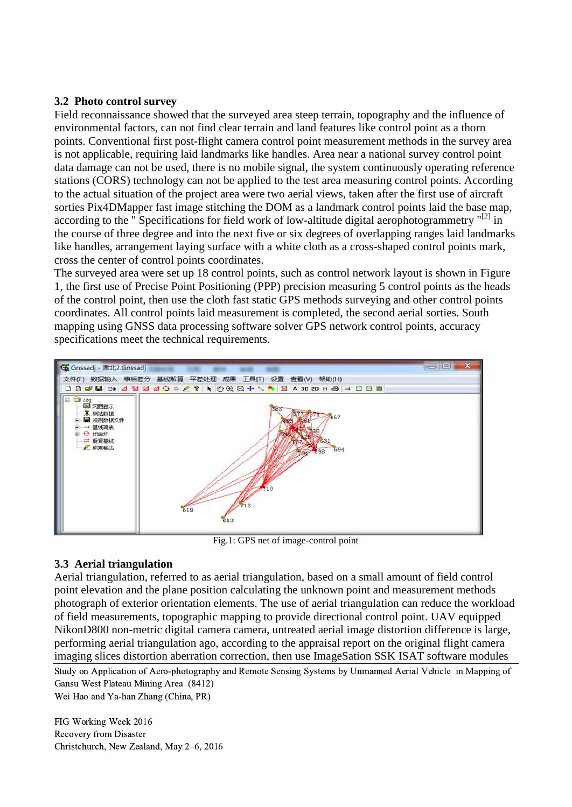### **3.2 Photo control survey**

Field reconnaissance showed that the surveyed area steep terrain, topography and the influence of environmental factors, can not find clear terrain and land features like control point as a thorn points. Conventional first post-flight camera control point measurement methods in the survey area is not applicable, requiring laid landmarks like handles. Area near a national survey control point data damage can not be used, there is no mobile signal, the system continuously operating reference stations (CORS) technology can not be applied to the test area measuring control points. According to the actual situation of the project area were two aerial views, taken after the first use of aircraft sorties Pix4DMapper fast image stitching the DOM as a landmark control points laid the base map, according to the "Specifications for field work of low-altitude digital aerophotogrammetry "[2] in the course of three degree and into the next five or six degrees of overlapping ranges laid landmarks like handles, arrangement laying surface with a white cloth as a cross-shaped control points mark, cross the center of control points coordinates.

The surveyed area were set up 18 control points, such as control network layout is shown in Figure 1, the first use of Precise Point Positioning (PPP) precision measuring 5 control points as the heads of the control point, then use the cloth fast static GPS methods surveying and other control points coordinates. All control points laid measurement is completed, the second aerial sorties. South mapping using GNSS data processing software solver GPS network control points, accuracy specifications meet the technical requirements.



Fig.1: GPS net of image-control point

### **3.3 Aerial triangulation**

Aerial triangulation, referred to as aerial triangulation, based on a small amount of field control point elevation and the plane position calculating the unknown point and measurement methods photograph of exterior orientation elements. The use of aerial triangulation can reduce the workload of field measurements, topographic mapping to provide directional control point. UAV equipped NikonD800 non-metric digital camera camera, untreated aerial image distortion difference is large, performing aerial triangulation ago, according to the appraisal report on the original flight camera imaging slices distortion aberration correction, then use ImageSation SSK ISAT software modules

Study on Application of Aero-photography and Remote Sensing Systems by Unmanned Aerial Vehicle in Mapping of Gansu West Plateau Mining Area (8412)

Wei Hao and Ya-han Zhang (China, PR)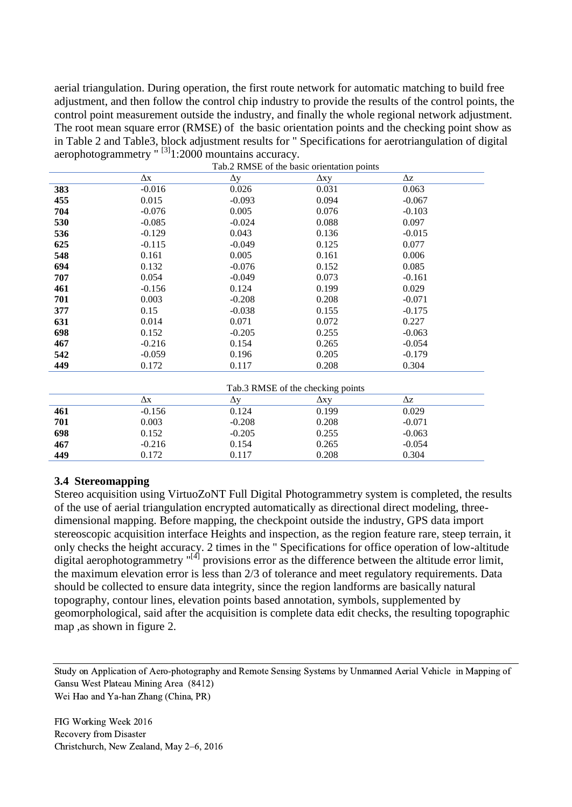aerial triangulation. During operation, the first route network for automatic matching to build free adjustment, and then follow the control chip industry to provide the results of the control points, the control point measurement outside the industry, and finally the whole regional network adjustment. The root mean square error (RMSE) of the basic orientation points and the checking point show as in Table 2 and Table3, block adjustment results for " Specifications for aerotriangulation of digital aerophotogrammetry  $\frac{1}{1}$  [3]<sub>1</sub>:2000 mountains accuracy.

| $\Delta z$<br>Δх<br>$\Delta y$<br>$\Delta xy$<br>$-0.016$<br>0.026<br>0.031<br>383<br>0.063<br>455<br>0.015<br>$-0.093$<br>0.094<br>$-0.067$<br>704<br>0.005<br>$-0.076$<br>0.076<br>$-0.103$<br>0.088<br>0.097<br>530<br>$-0.085$<br>$-0.024$<br>0.043<br>0.136<br>$-0.015$<br>536<br>$-0.129$<br>$-0.049$<br>0.077<br>625<br>$-0.115$<br>0.125<br>548<br>0.161<br>0.005<br>0.161<br>0.006<br>694<br>0.132<br>$-0.076$<br>0.085<br>0.152<br>707<br>0.054<br>$-0.049$<br>0.073<br>$-0.161$<br>461<br>$-0.156$<br>0.124<br>0.199<br>0.029<br>701<br>0.003<br>$-0.208$<br>0.208<br>$-0.071$<br>377<br>0.15<br>$-0.038$<br>0.155<br>$-0.175$<br>0.014<br>0.071<br>0.072<br>0.227<br>631<br>698<br>0.152<br>$-0.205$<br>0.255<br>$-0.063$<br>467<br>0.154<br>$-0.054$<br>$-0.216$<br>0.265 |
|----------------------------------------------------------------------------------------------------------------------------------------------------------------------------------------------------------------------------------------------------------------------------------------------------------------------------------------------------------------------------------------------------------------------------------------------------------------------------------------------------------------------------------------------------------------------------------------------------------------------------------------------------------------------------------------------------------------------------------------------------------------------------------------|
|                                                                                                                                                                                                                                                                                                                                                                                                                                                                                                                                                                                                                                                                                                                                                                                        |
|                                                                                                                                                                                                                                                                                                                                                                                                                                                                                                                                                                                                                                                                                                                                                                                        |
|                                                                                                                                                                                                                                                                                                                                                                                                                                                                                                                                                                                                                                                                                                                                                                                        |
|                                                                                                                                                                                                                                                                                                                                                                                                                                                                                                                                                                                                                                                                                                                                                                                        |
|                                                                                                                                                                                                                                                                                                                                                                                                                                                                                                                                                                                                                                                                                                                                                                                        |
|                                                                                                                                                                                                                                                                                                                                                                                                                                                                                                                                                                                                                                                                                                                                                                                        |
|                                                                                                                                                                                                                                                                                                                                                                                                                                                                                                                                                                                                                                                                                                                                                                                        |
|                                                                                                                                                                                                                                                                                                                                                                                                                                                                                                                                                                                                                                                                                                                                                                                        |
|                                                                                                                                                                                                                                                                                                                                                                                                                                                                                                                                                                                                                                                                                                                                                                                        |
|                                                                                                                                                                                                                                                                                                                                                                                                                                                                                                                                                                                                                                                                                                                                                                                        |
|                                                                                                                                                                                                                                                                                                                                                                                                                                                                                                                                                                                                                                                                                                                                                                                        |
|                                                                                                                                                                                                                                                                                                                                                                                                                                                                                                                                                                                                                                                                                                                                                                                        |
|                                                                                                                                                                                                                                                                                                                                                                                                                                                                                                                                                                                                                                                                                                                                                                                        |
|                                                                                                                                                                                                                                                                                                                                                                                                                                                                                                                                                                                                                                                                                                                                                                                        |
|                                                                                                                                                                                                                                                                                                                                                                                                                                                                                                                                                                                                                                                                                                                                                                                        |
|                                                                                                                                                                                                                                                                                                                                                                                                                                                                                                                                                                                                                                                                                                                                                                                        |
| 542<br>0.196<br>0.205<br>$-0.059$<br>$-0.179$                                                                                                                                                                                                                                                                                                                                                                                                                                                                                                                                                                                                                                                                                                                                          |
| 449<br>0.172<br>0.117<br>0.208<br>0.304                                                                                                                                                                                                                                                                                                                                                                                                                                                                                                                                                                                                                                                                                                                                                |
|                                                                                                                                                                                                                                                                                                                                                                                                                                                                                                                                                                                                                                                                                                                                                                                        |
| Tab.3 RMSE of the checking points                                                                                                                                                                                                                                                                                                                                                                                                                                                                                                                                                                                                                                                                                                                                                      |
| $\Delta z$<br>Δх<br>$\Delta y$<br>$\Delta xy$                                                                                                                                                                                                                                                                                                                                                                                                                                                                                                                                                                                                                                                                                                                                          |
| 0.124<br>0.199<br>0.029<br>$-0.156$<br>461                                                                                                                                                                                                                                                                                                                                                                                                                                                                                                                                                                                                                                                                                                                                             |
| 701<br>0.003<br>$-0.208$<br>0.208<br>$-0.071$                                                                                                                                                                                                                                                                                                                                                                                                                                                                                                                                                                                                                                                                                                                                          |
| 0.152<br>$-0.205$<br>$-0.063$<br>698<br>0.255                                                                                                                                                                                                                                                                                                                                                                                                                                                                                                                                                                                                                                                                                                                                          |
| 467<br>$-0.216$<br>0.154<br>0.265<br>$-0.054$                                                                                                                                                                                                                                                                                                                                                                                                                                                                                                                                                                                                                                                                                                                                          |
| 0.304<br>449<br>0.172<br>0.117<br>0.208                                                                                                                                                                                                                                                                                                                                                                                                                                                                                                                                                                                                                                                                                                                                                |

#### **3.4 Stereomapping**

Stereo acquisition using VirtuoZoNT Full Digital Photogrammetry system is completed, the results of the use of aerial triangulation encrypted automatically as directional direct modeling, threedimensional mapping. Before mapping, the checkpoint outside the industry, GPS data import stereoscopic acquisition interface Heights and inspection, as the region feature rare, steep terrain, it only checks the height accuracy. 2 times in the " Specifications for office operation of low-altitude digital aerophotogrammetry "<sup>[4]</sup> provisions error as the difference between the altitude error limit, the maximum elevation error is less than 2/3 of tolerance and meet regulatory requirements. Data should be collected to ensure data integrity, since the region landforms are basically natural topography, contour lines, elevation points based annotation, symbols, supplemented by geomorphological, said after the acquisition is complete data edit checks, the resulting topographic map ,as shown in figure 2.

Study on Application of Aero-photography and Remote Sensing Systems by Unmanned Aerial Vehicle in Mapping of Gansu West Plateau Mining Area (8412) Wei Hao and Ya-han Zhang (China, PR)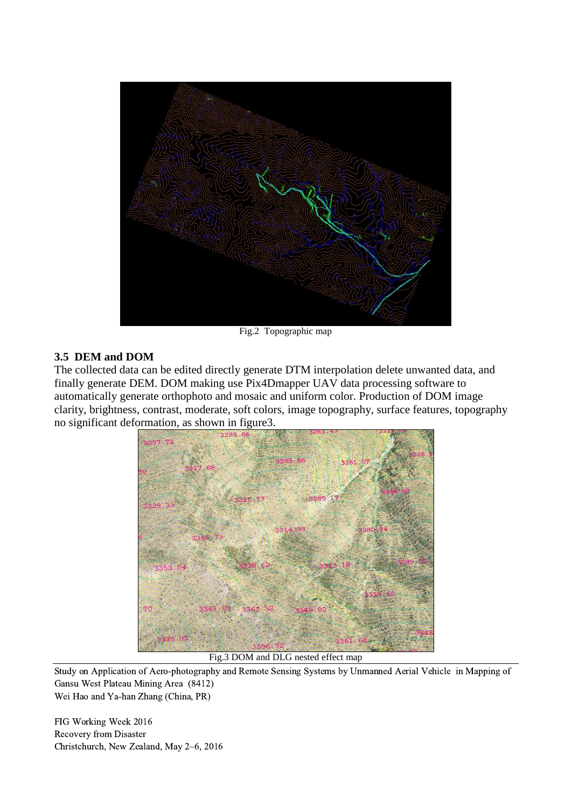

Fig.2 Topographic map

#### **3.5 DEM and DOM**

The collected data can be edited directly generate DTM interpolation delete unwanted data, and finally generate DEM. DOM making use Pix4Dmapper UAV data processing software to automatically generate orthophoto and mosaic and uniform color. Production of DOM image clarity, brightness, contrast, moderate, soft colors, image topography, surface features, topography no significant deformation, as shown in figure3.



Fig.3 DOM and DLG nested effect map

Study on Application of Aero-photography and Remote Sensing Systems by Unmanned Aerial Vehicle in Mapping of Gansu West Plateau Mining Area (8412)

Wei Hao and Ya-han Zhang (China, PR)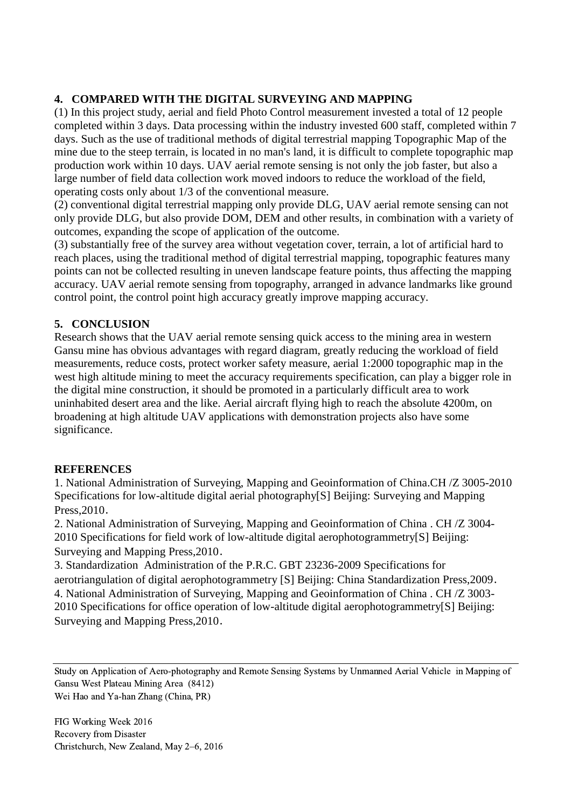# **4. COMPARED WITH THE DIGITAL SURVEYING AND MAPPING**

(1) In this project study, aerial and field Photo Control measurement invested a total of 12 people completed within 3 days. Data processing within the industry invested 600 staff, completed within 7 days. Such as the use of traditional methods of digital terrestrial mapping Topographic Map of the mine due to the steep terrain, is located in no man's land, it is difficult to complete topographic map production work within 10 days. UAV aerial remote sensing is not only the job faster, but also a large number of field data collection work moved indoors to reduce the workload of the field, operating costs only about 1/3 of the conventional measure.

(2) conventional digital terrestrial mapping only provide DLG, UAV aerial remote sensing can not only provide DLG, but also provide DOM, DEM and other results, in combination with a variety of outcomes, expanding the scope of application of the outcome.

(3) substantially free of the survey area without vegetation cover, terrain, a lot of artificial hard to reach places, using the traditional method of digital terrestrial mapping, topographic features many points can not be collected resulting in uneven landscape feature points, thus affecting the mapping accuracy. UAV aerial remote sensing from topography, arranged in advance landmarks like ground control point, the control point high accuracy greatly improve mapping accuracy.

## **5. CONCLUSION**

Research shows that the UAV aerial remote sensing quick access to the mining area in western Gansu mine has obvious advantages with regard diagram, greatly reducing the workload of field measurements, reduce costs, protect worker safety measure, aerial 1:2000 topographic map in the west high altitude mining to meet the accuracy requirements specification, can play a bigger role in the digital mine construction, it should be promoted in a particularly difficult area to work uninhabited desert area and the like. Aerial aircraft flying high to reach the absolute 4200m, on broadening at high altitude UAV applications with demonstration projects also have some significance.

### **REFERENCES**

1. National Administration of Surveying, Mapping and Geoinformation of China.CH /Z 3005-2010 Specifications for low-altitude digital aerial photography[S] Beijing: Surveying and Mapping Press,2010.

2. National Administration of Surveying, Mapping and Geoinformation of China . CH /Z 3004- 2010 Specifications for field work of low-altitude digital aerophotogrammetry[S] Beijing: Surveying and Mapping Press,2010.

3. Standardization Administration of the P.R.C. GBT 23236-2009 Specifications for aerotriangulation of digital aerophotogrammetry [S] Beijing: China Standardization Press,2009. 4. National Administration of Surveying, Mapping and Geoinformation of China . CH /Z 3003- 2010 Specifications for office operation of low-altitude digital aerophotogrammetry[S] Beijing: Surveying and Mapping Press,2010.

Study on Application of Aero-photography and Remote Sensing Systems by Unmanned Aerial Vehicle in Mapping of Gansu West Plateau Mining Area (8412) Wei Hao and Ya-han Zhang (China, PR)